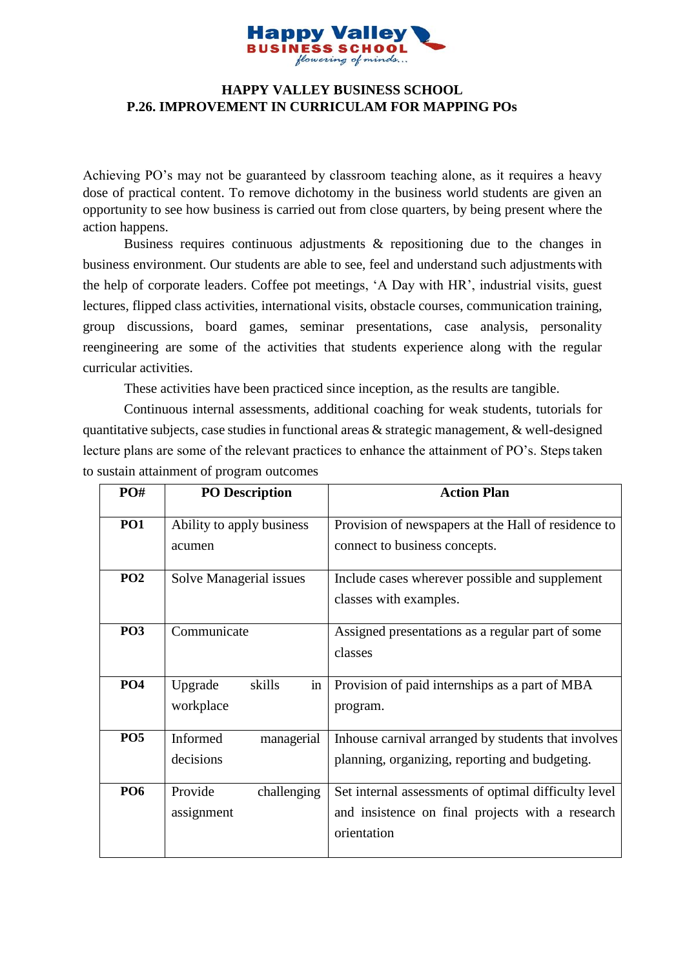

## **HAPPY VALLEY BUSINESS SCHOOL P.26. IMPROVEMENT IN CURRICULAM FOR MAPPING POs**

Achieving PO's may not be guaranteed by classroom teaching alone, as it requires a heavy dose of practical content. To remove dichotomy in the business world students are given an opportunity to see how business is carried out from close quarters, by being present where the action happens.

Business requires continuous adjustments & repositioning due to the changes in business environment. Our students are able to see, feel and understand such adjustmentswith the help of corporate leaders. Coffee pot meetings, 'A Day with HR', industrial visits, guest lectures, flipped class activities, international visits, obstacle courses, communication training, group discussions, board games, seminar presentations, case analysis, personality reengineering are some of the activities that students experience along with the regular curricular activities.

These activities have been practiced since inception, as the results are tangible.

Continuous internal assessments, additional coaching for weak students, tutorials for quantitative subjects, case studies in functional areas & strategic management, & well-designed lecture plans are some of the relevant practices to enhance the attainment of PO's. Steps taken to sustain attainment of program outcomes

| PO#             | <b>PO</b> Description                    | <b>Action Plan</b>                                                                                                      |
|-----------------|------------------------------------------|-------------------------------------------------------------------------------------------------------------------------|
| <b>PO1</b>      | Ability to apply business<br>acumen      | Provision of newspapers at the Hall of residence to<br>connect to business concepts.                                    |
| PO <sub>2</sub> | Solve Managerial issues                  | Include cases wherever possible and supplement<br>classes with examples.                                                |
| PO <sub>3</sub> | Communicate                              | Assigned presentations as a regular part of some<br>classes                                                             |
| <b>PO4</b>      | skills<br>Upgrade<br>$\sin$<br>workplace | Provision of paid internships as a part of MBA<br>program.                                                              |
| PO <sub>5</sub> | managerial<br>Informed<br>decisions      | Inhouse carnival arranged by students that involves<br>planning, organizing, reporting and budgeting.                   |
| <b>PO6</b>      | Provide<br>challenging<br>assignment     | Set internal assessments of optimal difficulty level<br>and insistence on final projects with a research<br>orientation |